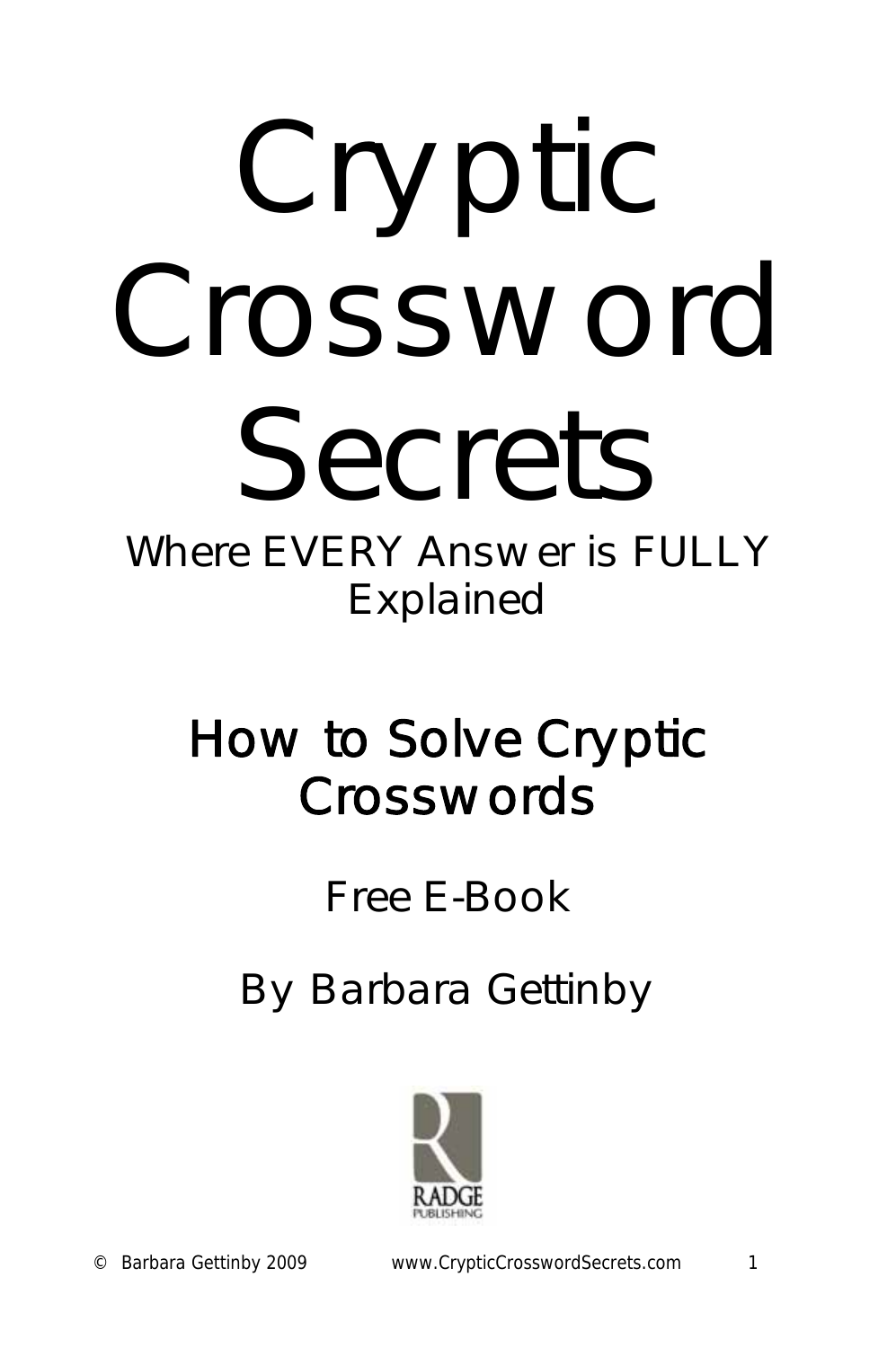

# *Where EVERY Answer is FULLY Explained*

# *How to Solve Cryptic Crosswords*

# *Free E-Book*

*By Barbara Gettinby* 

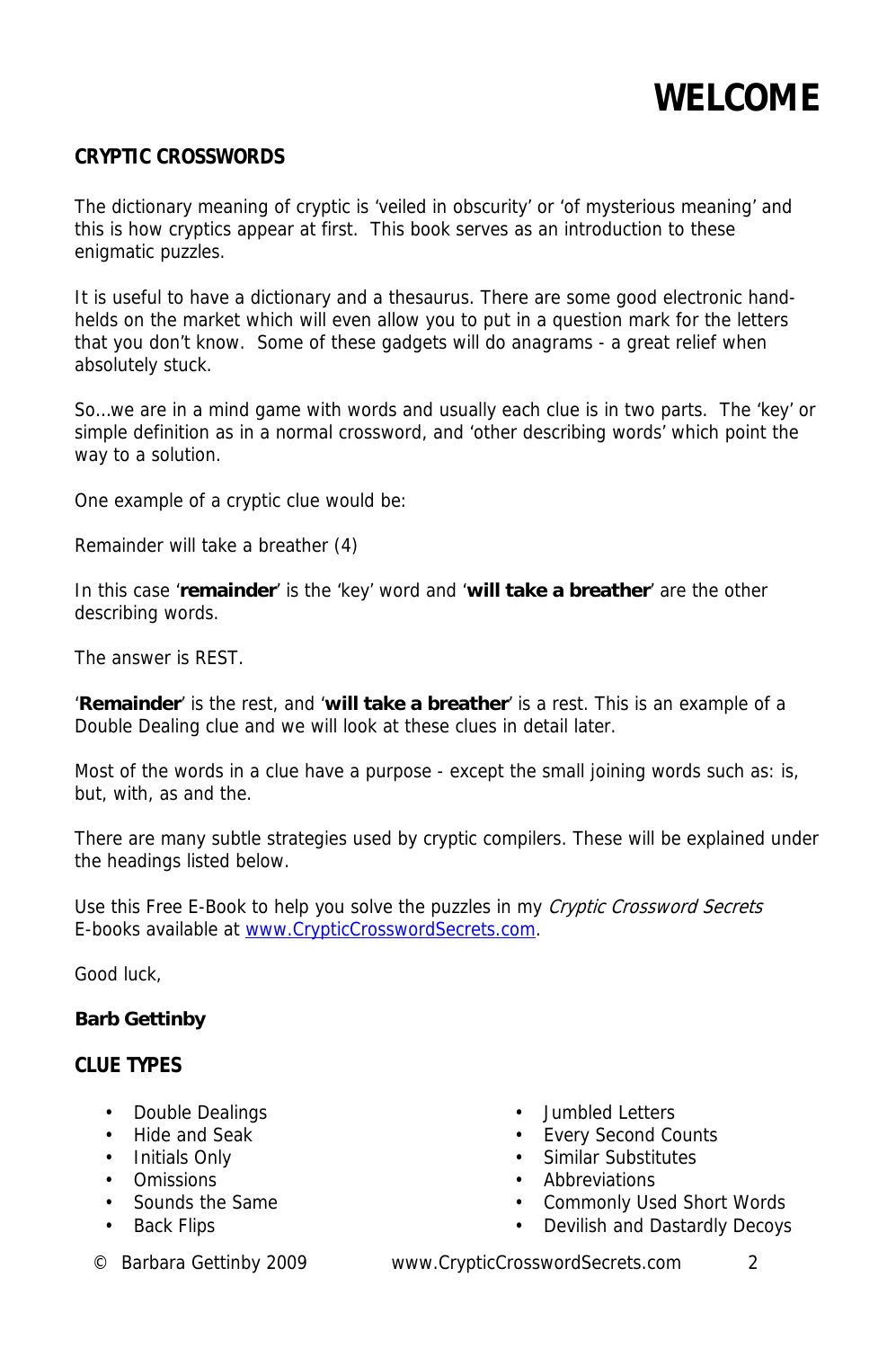

#### **CRYPTIC CROSSWORDS**

The dictionary meaning of cryptic is 'veiled in obscurity' or 'of mysterious meaning' and this is how cryptics appear at first. This book serves as an introduction to these enigmatic puzzles.

It is useful to have a dictionary and a thesaurus. There are some good electronic handhelds on the market which will even allow you to put in a question mark for the letters that you don't know. Some of these gadgets will do anagrams - a great relief when absolutely stuck.

So…we are in a mind game with words and usually each clue is in two parts. The 'key' or simple definition as in a normal crossword, and 'other describing words' which point the way to a solution.

One example of a cryptic clue would be:

Remainder will take a breather (4)

In this case '**remainder**' is the 'key' word and '**will take a breather**' are the other describing words.

The answer is REST.

'**Remainder**' is the rest, and '**will take a breather**' is a rest. This is an example of a Double Dealing clue and we will look at these clues in detail later.

Most of the words in a clue have a purpose - except the small joining words such as: is, but, with, as and the.

There are many subtle strategies used by cryptic compilers. These will be explained under the headings listed below.

Use this Free E-Book to help you solve the puzzles in my Cryptic Crossword Secrets E-books available at www.CrypticCrosswordSecrets.com.

Good luck,

#### **Barb Gettinby**

### **CLUE TYPES**

- Double Dealings
- Hide and Seak
- Initials Only
- Omissions
- Sounds the Same
- Back Flips
- 
- Jumbled Letters
- Every Second Counts
- Similar Substitutes
- Abbreviations
- Commonly Used Short Words
- Devilish and Dastardly Decoys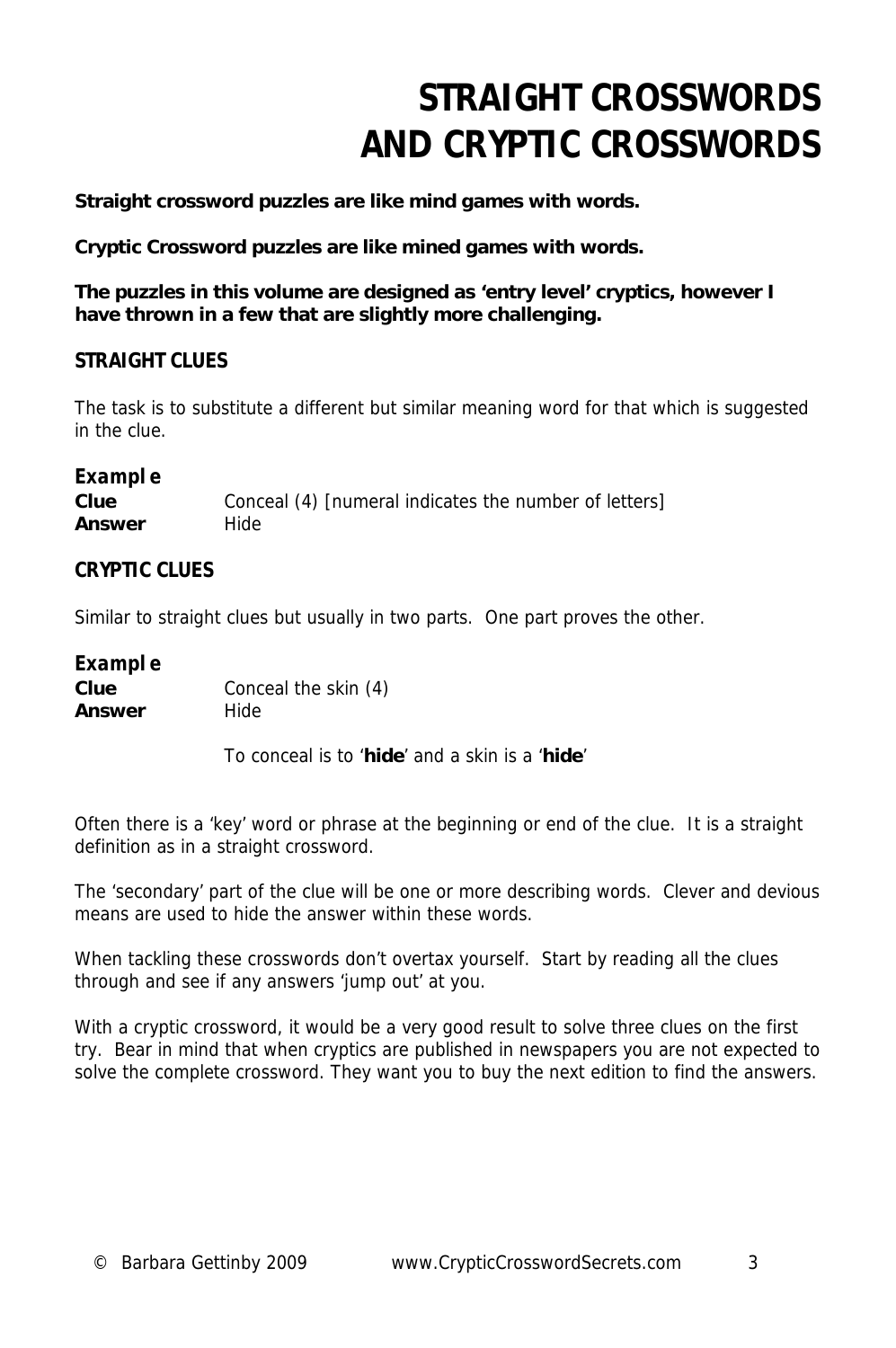# **STRAIGHT CROSSWORDS AND CRYPTIC CROSSWORDS**

**Straight crossword puzzles are like mind games with words.** 

**Cryptic Crossword puzzles are like mined games with words.** 

**The puzzles in this volume are designed as 'entry level' cryptics, however I have thrown in a few that are slightly more challenging.**

### **STRAIGHT CLUES**

The task is to substitute a different but similar meaning word for that which is suggested in the clue.

### **Example**

| Clue   | Conceal (4) [numeral indicates the number of letters] |
|--------|-------------------------------------------------------|
| Answer | Hide                                                  |

### **CRYPTIC CLUES**

Similar to straight clues but usually in two parts. One part proves the other.

### **Example**

**Clue Conceal the skin (4) Answer** Hide

To conceal is to '**hide**' and a skin is a '**hide**'

Often there is a 'key' word or phrase at the beginning or end of the clue. It is a straight definition as in a straight crossword.

The 'secondary' part of the clue will be one or more describing words. Clever and devious means are used to hide the answer within these words.

When tackling these crosswords don't overtax yourself. Start by reading all the clues through and see if any answers 'jump out' at you.

With a cryptic crossword, it would be a very good result to solve three clues on the first try. Bear in mind that when cryptics are published in newspapers you are not expected to solve the complete crossword. They want you to buy the next edition to find the answers.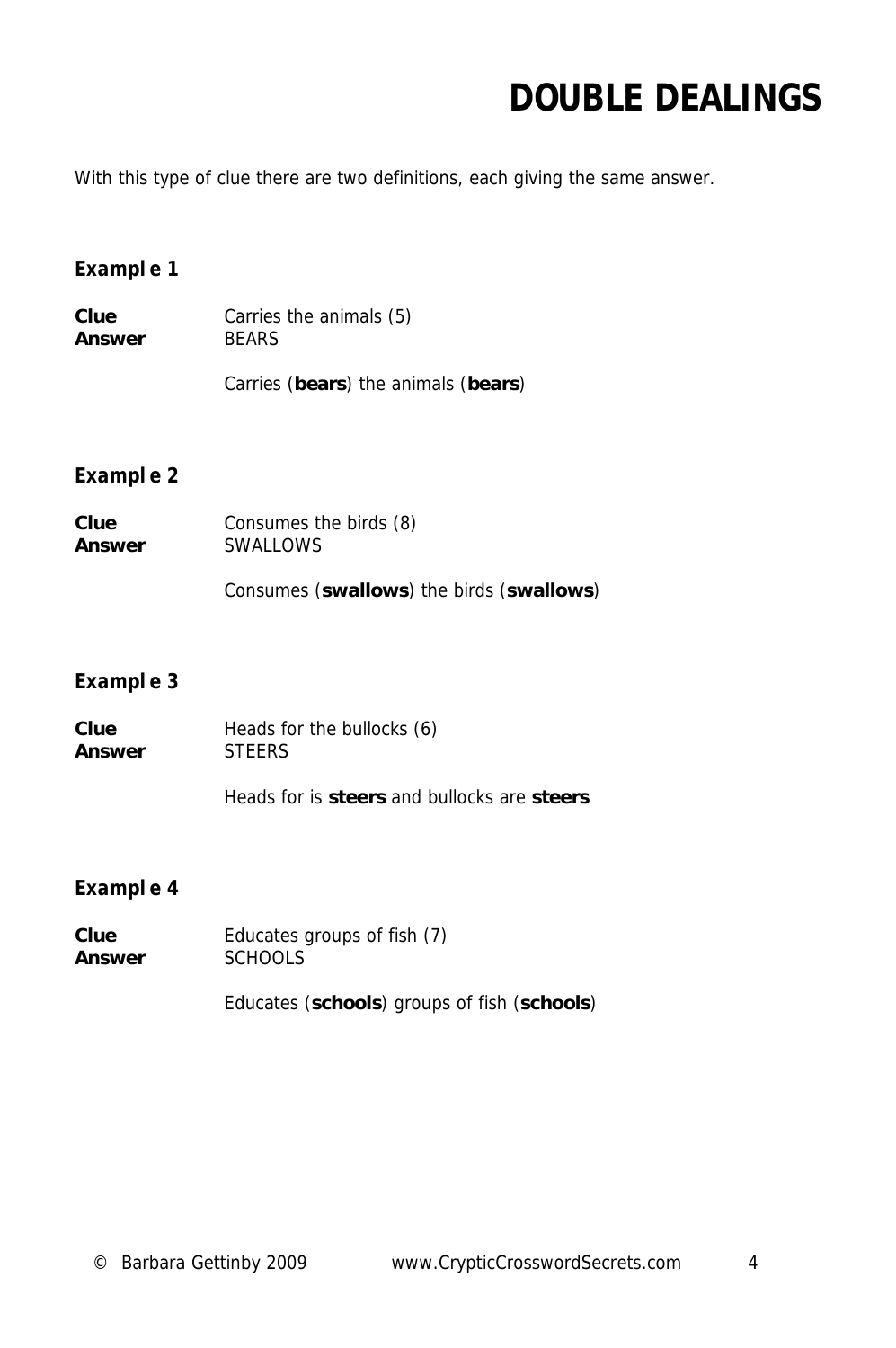### **DOUBLE DEALINGS**

With this type of clue there are two definitions, each giving the same answer.

### **Example 1**

**Clue** Carries the animals (5) **Answer** BEARS

Carries (**bears**) the animals (**bears**)

### **Example 2**

| Clue   | Consumes the birds (8)                   |
|--------|------------------------------------------|
| Answer | <b>SWALLOWS</b>                          |
|        | Consumes (swallows) the birds (swallows) |

### **Example 3**

| Clue   | Heads for the bullocks (6) |
|--------|----------------------------|
| Answer | <b>STEERS</b>              |

Heads for is **steers** and bullocks are **steers**

### **Example 4**

| Clue   | Educates groups of fish (7) |
|--------|-----------------------------|
| Answer | <b>SCHOOLS</b>              |

Educates (**schools**) groups of fish (**schools**)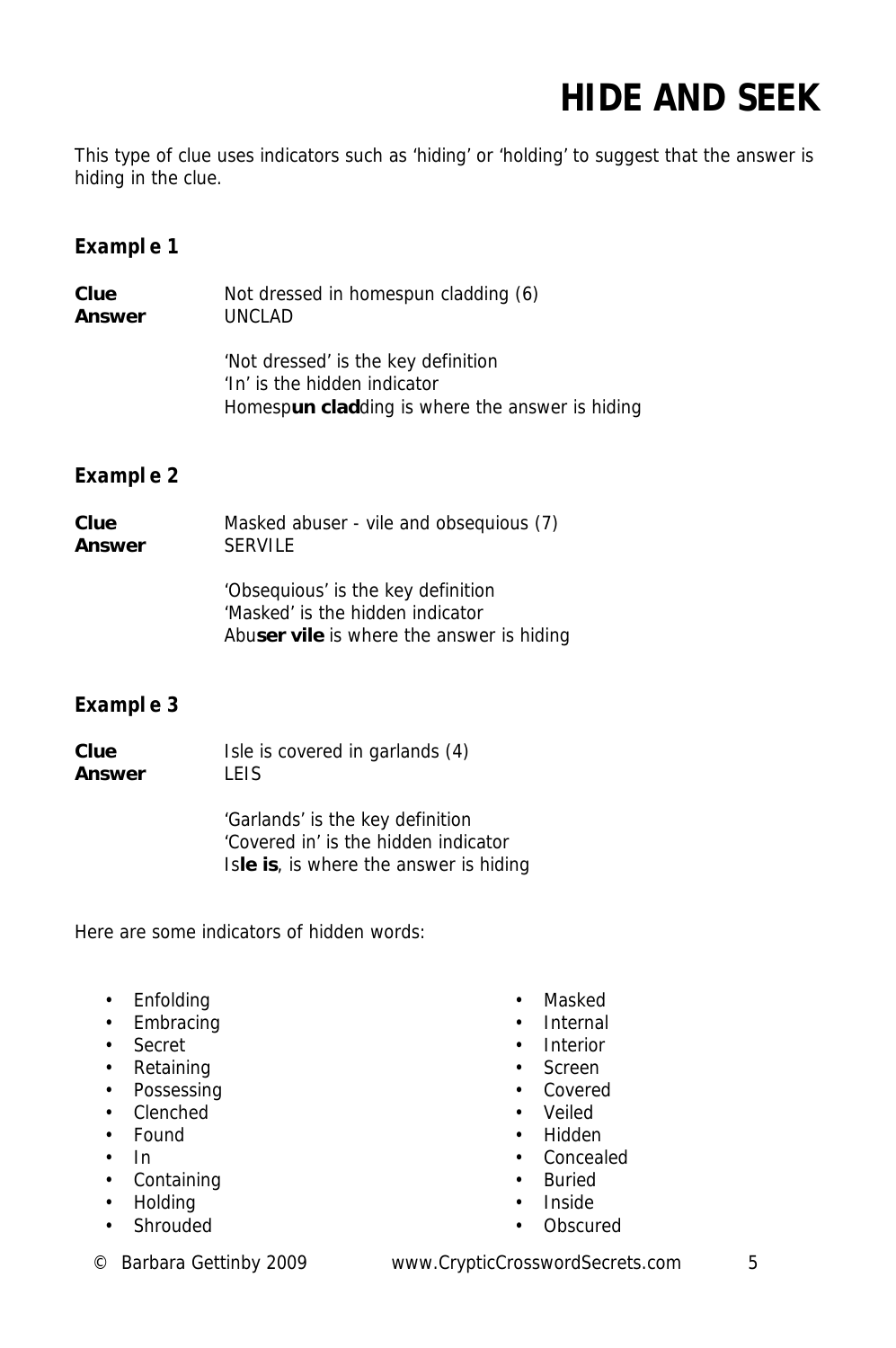# **HIDE AND SEEK**

This type of clue uses indicators such as 'hiding' or 'holding' to suggest that the answer is hiding in the clue.

### **Example 1**

| Clue   | Not dressed in homespun cladding (6)                                                                                   |
|--------|------------------------------------------------------------------------------------------------------------------------|
| Answer | UNCLAD                                                                                                                 |
|        | 'Not dressed' is the key definition<br>'In' is the hidden indicator<br>Homespun cladding is where the answer is hiding |

### **Example 2**

| Clue   | Masked abuser - vile and obsequious (7)                                                                             |
|--------|---------------------------------------------------------------------------------------------------------------------|
| Answer | <b>SERVILE</b>                                                                                                      |
|        | 'Obsequious' is the key definition<br>'Masked' is the hidden indicator<br>Abuser vile is where the answer is hiding |

### **Example 3**

**Clue** Isle is covered in garlands (4) **Answer** LEIS

> 'Garlands' is the key definition 'Covered in' is the hidden indicator Is**le is**, is where the answer is hiding

Here are some indicators of hidden words:

- Enfolding
- Embracing
- Secret
- Retaining
- Possessing
- Clenched
- Found
- In
- Containing
- Holding
- Shrouded
- Masked
- Internal
- Interior
- Screen
- Covered
- Veiled
- Hidden
- Concealed
- Buried
- Inside
- Obscured

© Barbara Gettinby 2009 www.CrypticCrosswordSecrets.com 5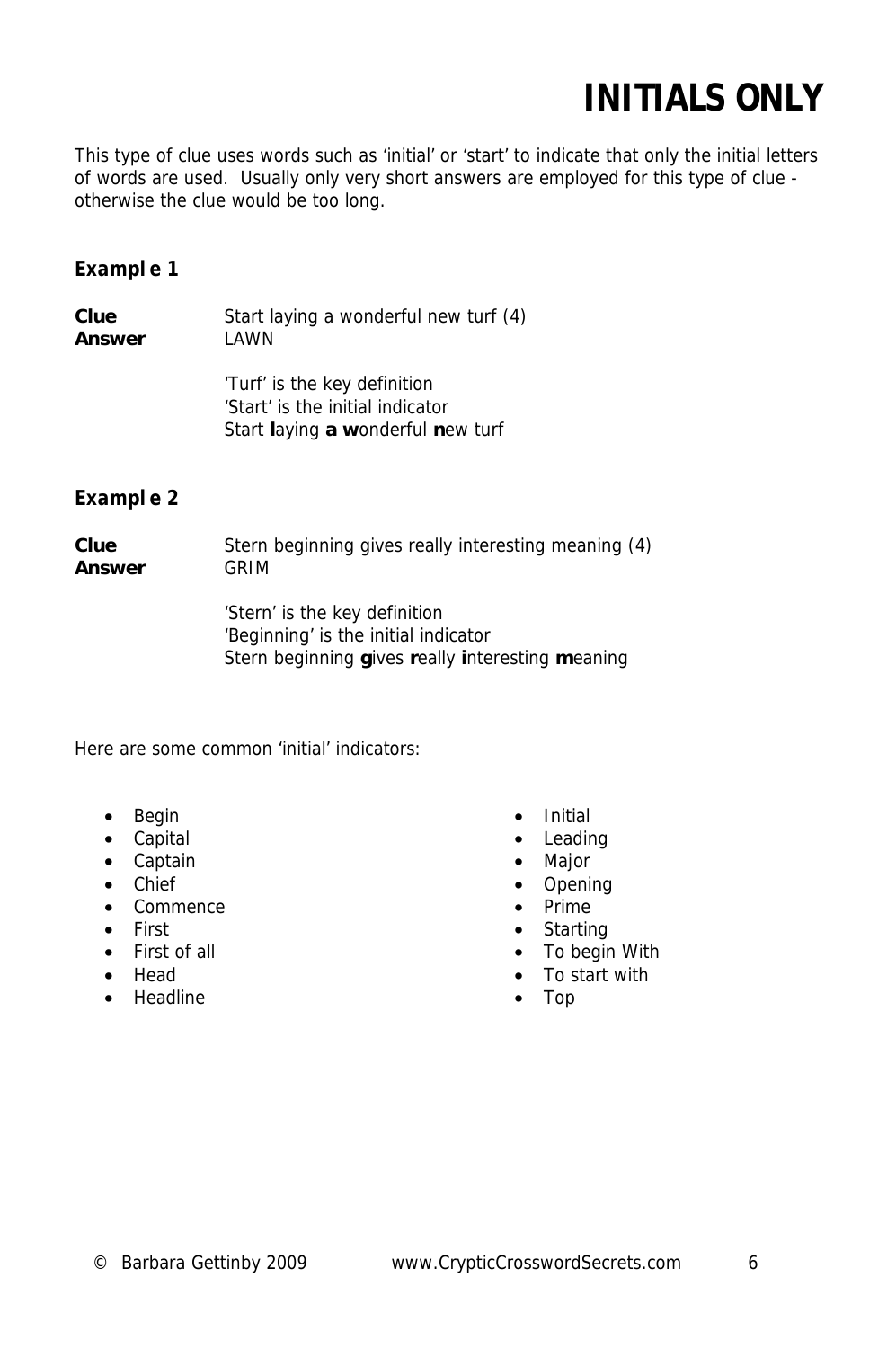### **INITIALS ONLY**

This type of clue uses words such as 'initial' or 'start' to indicate that only the initial letters of words are used. Usually only very short answers are employed for this type of clue otherwise the clue would be too long.

### **Example 1**

**Clue** Start laying a wonderful new turf (4) **Answer** LAWN

> 'Turf' is the key definition 'Start' is the initial indicator Start **l**aying **a w**onderful **n**ew turf

### **Example 2**

#### **Clue** Stern beginning gives really interesting meaning (4) **Answer** GRIM

 'Stern' is the key definition 'Beginning' is the initial indicator Stern beginning **g**ives **r**eally **i**nteresting **m**eaning

Here are some common 'initial' indicators:

- Begin
- Capital
- Captain
- Chief
- Commence
- First
- First of all
- Head
- Headline
- Initial
- Leading
- Major
- Opening
- Prime
- Starting
- To begin With
- To start with
- Top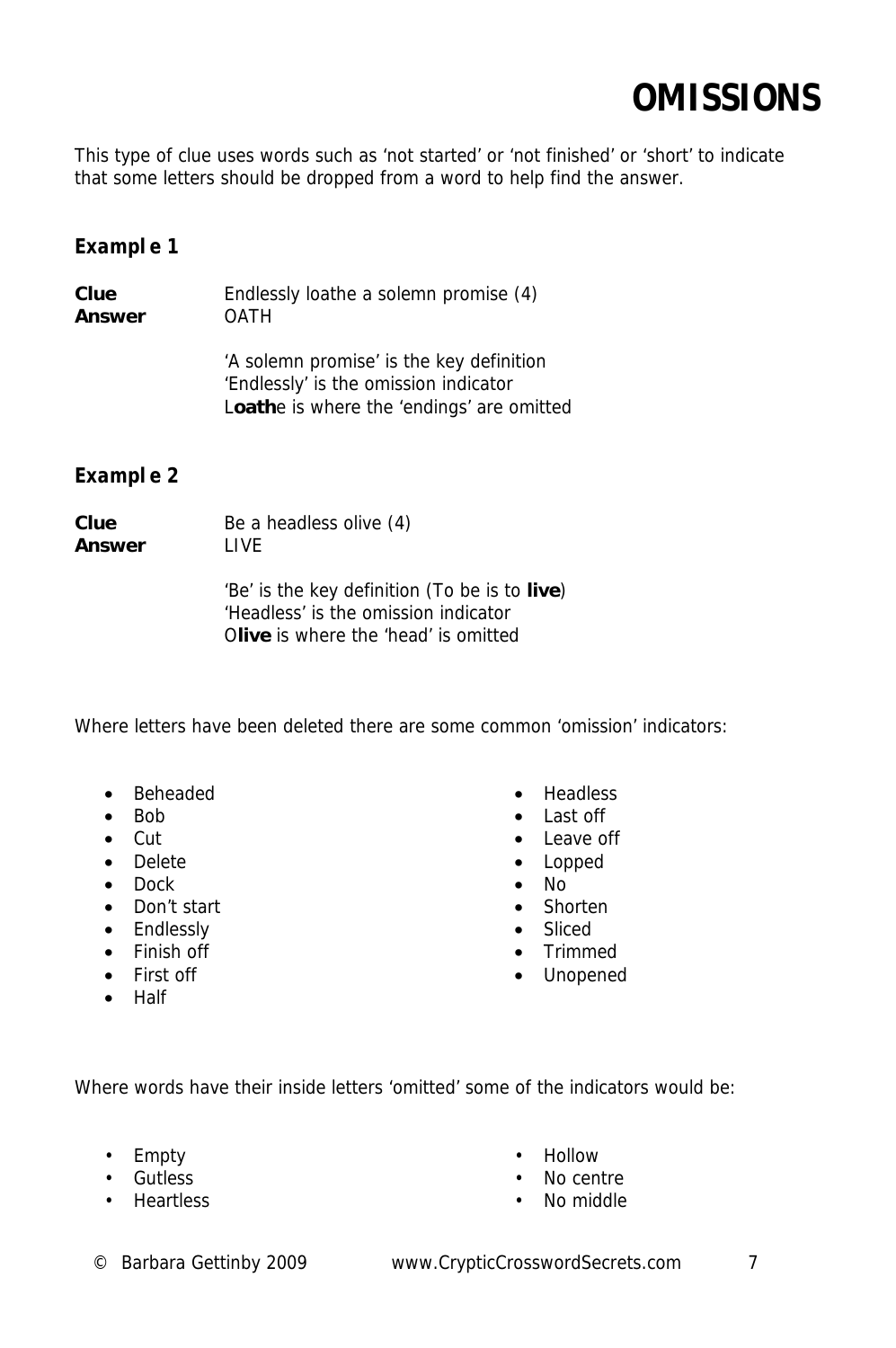### **OMISSIONS**

This type of clue uses words such as 'not started' or 'not finished' or 'short' to indicate that some letters should be dropped from a word to help find the answer.

### **Example 1**

| Clue   | Endlessly loathe a solemn promise (4)    |
|--------|------------------------------------------|
| Answer | OATH                                     |
|        | 'A solemn promise' is the key definition |

 'A solemn promise' is the key definition 'Endlessly' is the omission indicator L**oath**e is where the 'endings' are omitted

### **Example 2**

**Clue** Be a headless olive (4) Answer **LIVE** 

> 'Be' is the key definition (To be is to **live**) 'Headless' is the omission indicator O**live** is where the 'head' is omitted

Where letters have been deleted there are some common 'omission' indicators:

- Beheaded
- Bob
- Cut
- Delete
- Dock
- Don't start
- Endlessly
- Finish off
- First off
- Half
- Headless
- Last off
- Leave off
- Lopped
- No
- Shorten
- Sliced
- Trimmed
- Unopened

Where words have their inside letters 'omitted' some of the indicators would be:

- Empty
- Gutless
- Heartless
- Hollow
- No centre
- No middle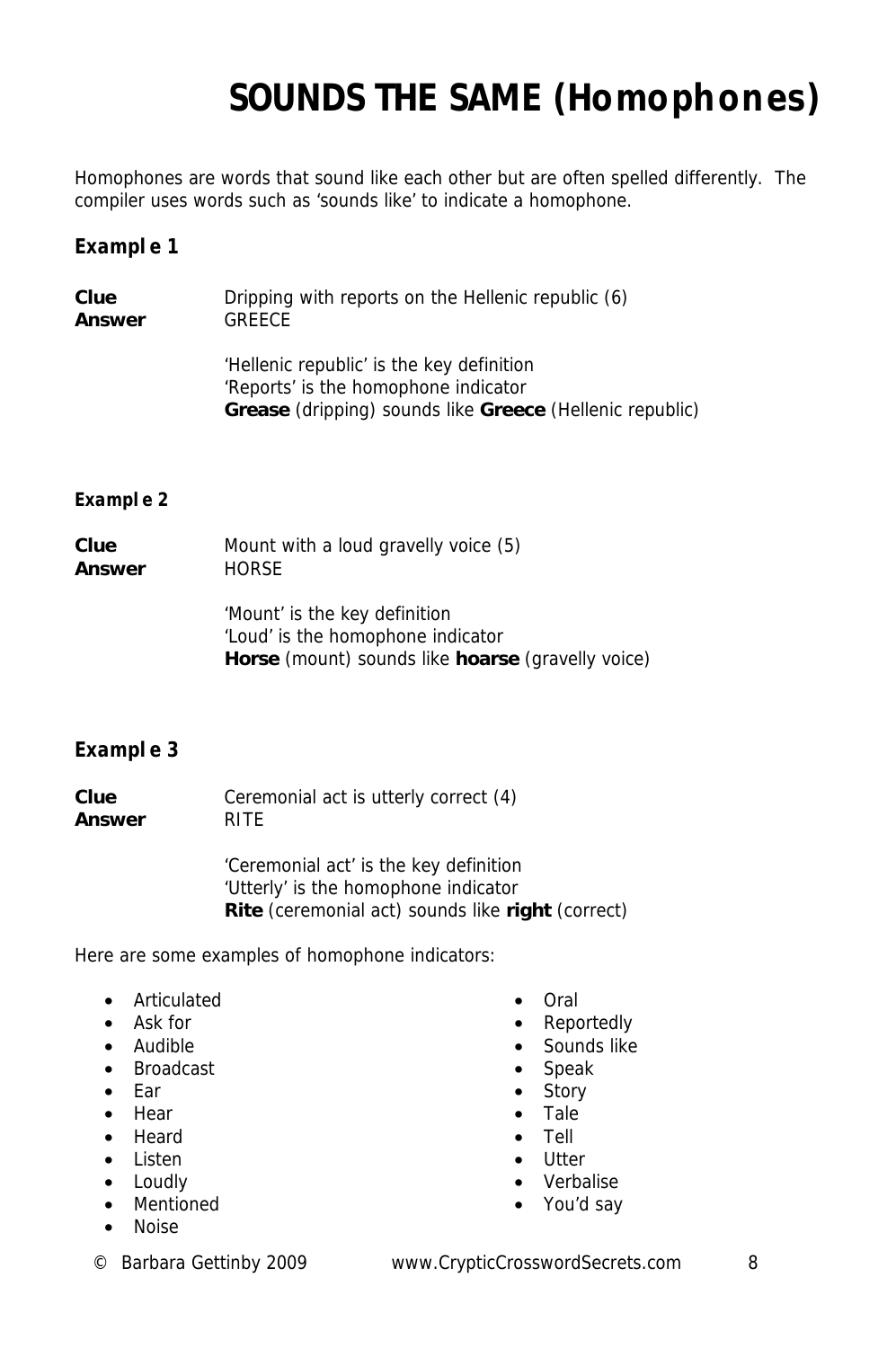# **SOUNDS THE SAME (Homophones)**

Homophones are words that sound like each other but are often spelled differently. The compiler uses words such as 'sounds like' to indicate a homophone.

### **Example 1**

| Clue   | Dripping with reports on the Hellenic republic (6)                                                                                                          |
|--------|-------------------------------------------------------------------------------------------------------------------------------------------------------------|
| Answer | <b>GREECE</b>                                                                                                                                               |
|        | 'Hellenic republic' is the key definition<br>'Reports' is the homophone indicator<br><b>Grease</b> (dripping) sounds like <b>Greece</b> (Hellenic republic) |

#### **Example 2**

| Clue   | Mount with a loud gravelly voice (5) |
|--------|--------------------------------------|
| Answer | HORSE                                |
|        | Mount is the key definition          |

 'Mount' is the key definition 'Loud' is the homophone indicator **Horse** (mount) sounds like **hoarse** (gravelly voice)

### **Example 3**

**Clue** Ceremonial act is utterly correct (4) **Answer** RITE

> 'Ceremonial act' is the key definition 'Utterly' is the homophone indicator **Rite** (ceremonial act) sounds like **right** (correct)

Here are some examples of homophone indicators:

- Articulated
- Ask for
- Audible
- Broadcast
- Ear
- Hear
- Heard
- Listen
- Loudly • Mentioned
- 
- Noise
- Oral
- Reportedly
- Sounds like
- Speak
- Story
- Tale
- Tell
- Utter
- Verbalise
- You'd say

© Barbara Gettinby 2009 www.CrypticCrosswordSecrets.com 8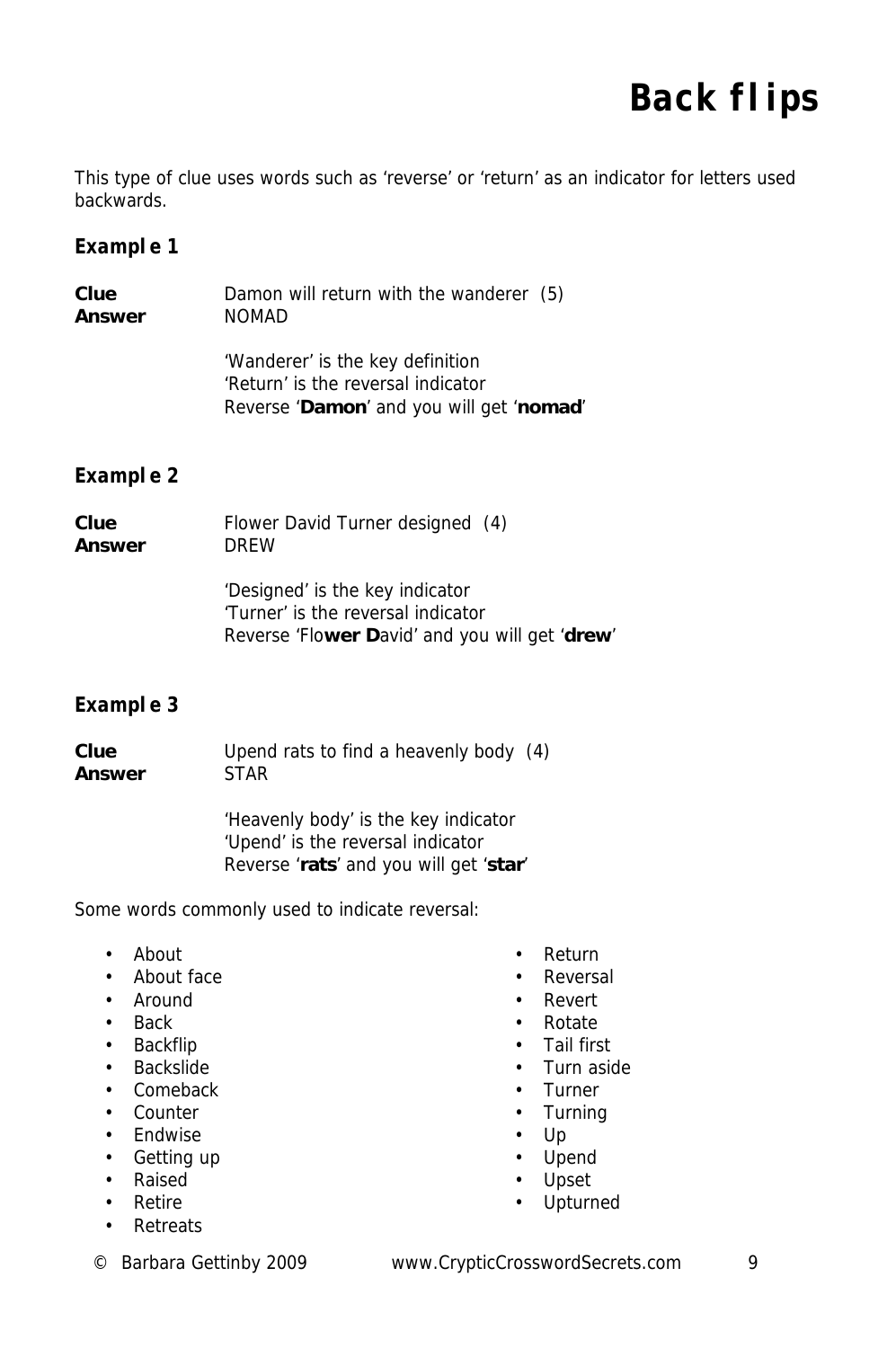### **Back flips**

This type of clue uses words such as 'reverse' or 'return' as an indicator for letters used backwards.

### **Example 1**

| Clue   | Damon will return with the wanderer (5)                                                                            |
|--------|--------------------------------------------------------------------------------------------------------------------|
| Answer | <b>NOMAD</b>                                                                                                       |
|        | 'Wanderer' is the key definition<br>'Return' is the reversal indicator<br>Reverse 'Damon' and you will get 'nomad' |

### **Example 2**

| Clue   | Flower David Turner designed (4)                                                                                        |
|--------|-------------------------------------------------------------------------------------------------------------------------|
| Answer | <b>DRFW</b>                                                                                                             |
|        | 'Designed' is the key indicator<br>'Turner' is the reversal indicator<br>Reverse 'Flower David' and you will get 'drew' |

### **Example 3**

**Clue** Upend rats to find a heavenly body (4) **Answer** STAR

> 'Heavenly body' is the key indicator 'Upend' is the reversal indicator Reverse '**rats**' and you will get '**star**'

Some words commonly used to indicate reversal:

- About
- About face
- Around
- Back
- Backflip
- Backslide
- Comeback
- Counter
- Endwise
- Getting up
- Raised
- Retire
- Retreats
- Return
- Reversal
- Revert
- Rotate
- Tail first
- Turn aside
- Turner
- Turning
- Up
- Upend
- Upset
- Upturned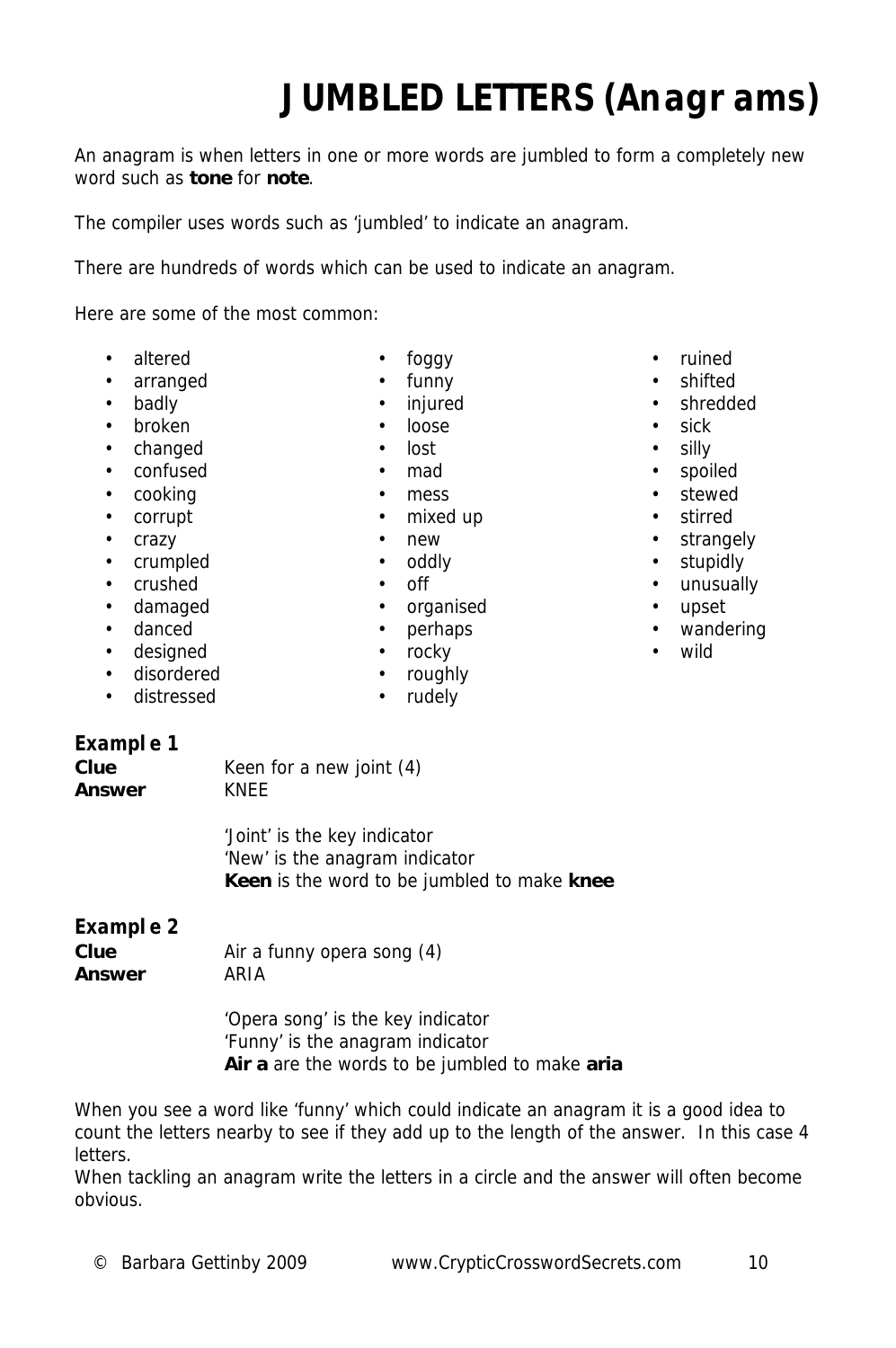# **JUMBLED LETTERS (Anagrams)**

An anagram is when letters in one or more words are jumbled to form a completely new word such as **tone** for **note**.

The compiler uses words such as 'jumbled' to indicate an anagram.

There are hundreds of words which can be used to indicate an anagram.

Here are some of the most common:

- altered
- arranged
- badly
- broken
- changed
- confused
- cooking
- corrupt
- crazy
- crumpled
- crushed
- damaged
- danced
- designed
- disordered
- distressed
- foggy • funny
- **injured** • loose
- lost
- 
- mad
- mess
- mixed up
	- new
	- oddly
	- off
- organised
- perhaps
- rocky
- roughly
- rudely

**Example 1** 

**Clue** Keen for a new joint (4) **Answer** KNEE

> 'Joint' is the key indicator 'New' is the anagram indicator **Keen** is the word to be jumbled to make **knee**

### **Example 2**

**Clue** Air a funny opera song (4) **Answer** ARIA

> 'Opera song' is the key indicator 'Funny' is the anagram indicator **Air a** are the words to be jumbled to make **aria**

When you see a word like 'funny' which could indicate an anagram it is a good idea to count the letters nearby to see if they add up to the length of the answer. In this case 4 letters.

When tackling an anagram write the letters in a circle and the answer will often become obvious.

- ruined
- shifted
- shredded
- sick
- silly
- spoiled
- stewed
- stirred
- strangely
- stupidly
- unusually
- upset
- wandering
- wild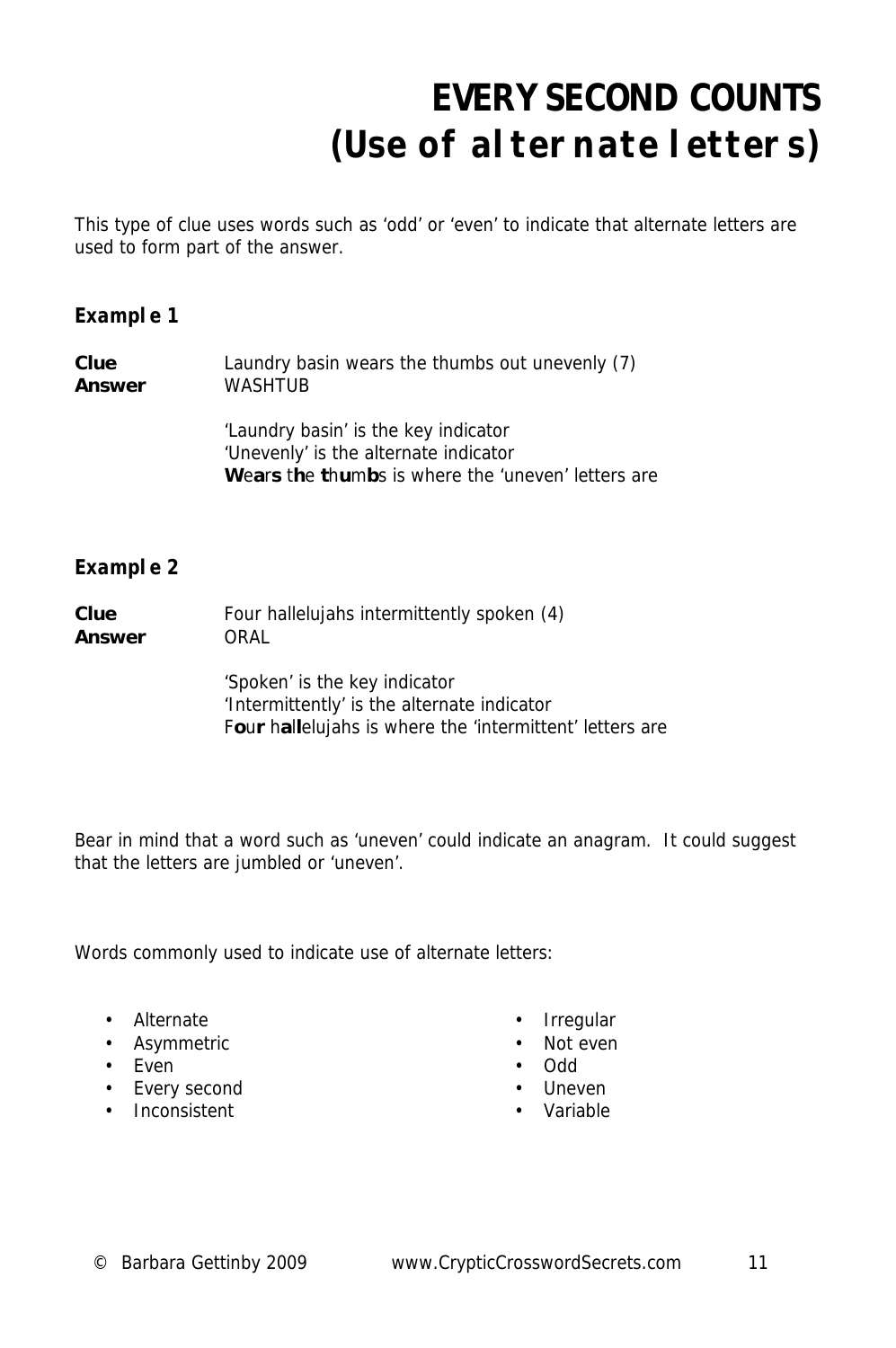# **EVERY SECOND COUNTS (Use of alternate letters)**

This type of clue uses words such as 'odd' or 'even' to indicate that alternate letters are used to form part of the answer.

### **Example 1**

| Clue   | Laundry basin wears the thumbs out unevenly (7) |
|--------|-------------------------------------------------|
| Answer | WASHTUB                                         |

 'Laundry basin' is the key indicator 'Unevenly' is the alternate indicator **W**e**a**r**s** t**h**e **t**h**u**m**b**s is where the 'uneven' letters are

### **Example 2**

| Clue<br>Answer | Four hallelujahs intermittently spoken (4)<br>ORAL       |  |  |  |  |
|----------------|----------------------------------------------------------|--|--|--|--|
|                | 'Spoken' is the key indicator                            |  |  |  |  |
|                | 'Intermittently' is the alternate indicator              |  |  |  |  |
|                | Four hallelujahs is where the 'intermittent' letters are |  |  |  |  |

Bear in mind that a word such as 'uneven' could indicate an anagram. It could suggest that the letters are jumbled or 'uneven'.

Words commonly used to indicate use of alternate letters:

- Alternate
- Asymmetric
- Even
- Every second
- Inconsistent
- Irregular
- Not even
- Odd
- Uneven
- Variable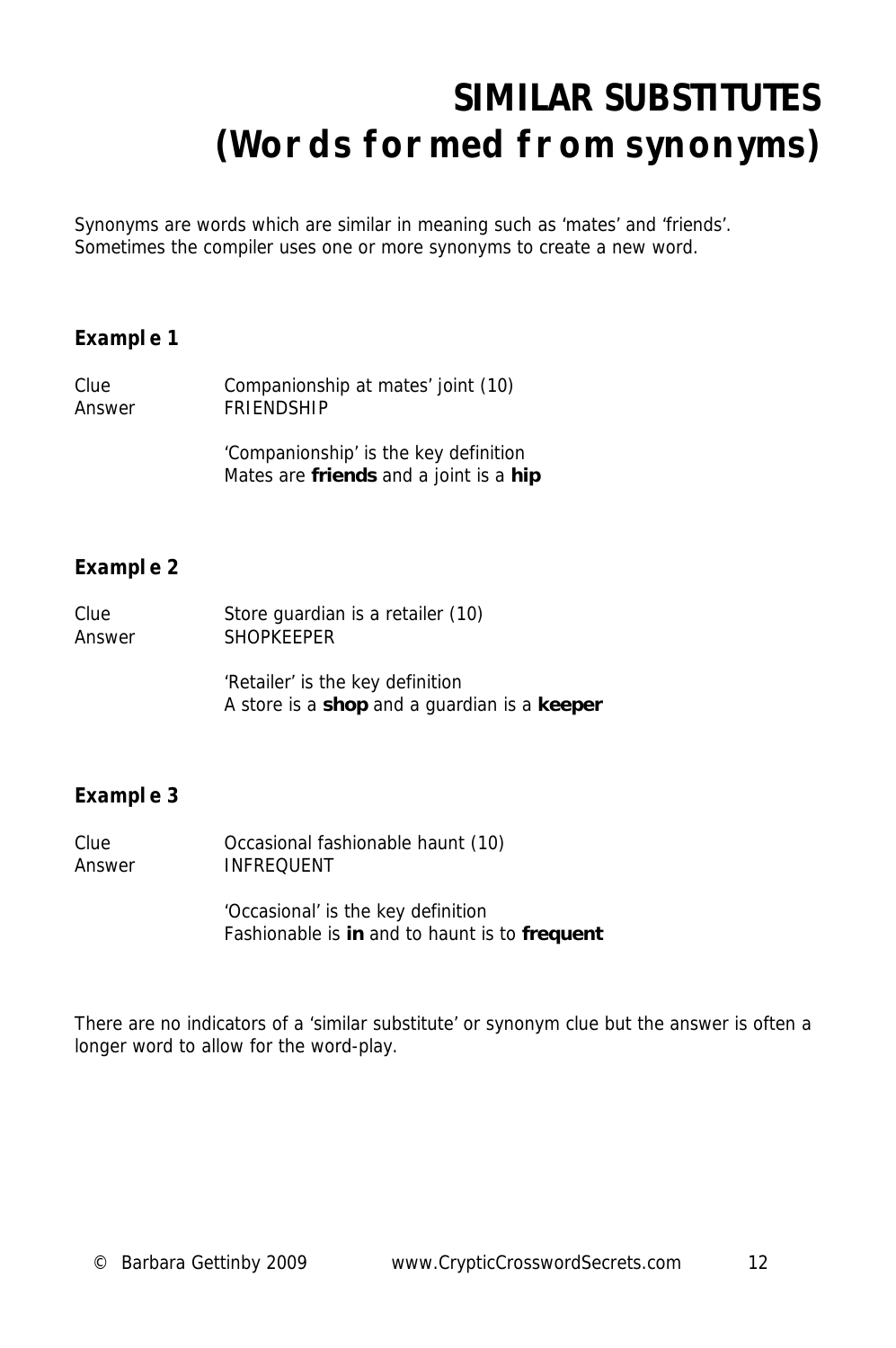### **SIMILAR SUBSTITUTES (Words formed from synonyms)**

Synonyms are words which are similar in meaning such as 'mates' and 'friends'. Sometimes the compiler uses one or more synonyms to create a new word.

#### **Example 1**

| Clue   | Companionship at mates' joint (10) |
|--------|------------------------------------|
| Answer | <b>FRIENDSHIP</b>                  |

 'Companionship' is the key definition Mates are **friends** and a joint is a **hip**

### **Example 2**

| Clue   | Store guardian is a retailer (10) |
|--------|-----------------------------------|
| Answer | <b>SHOPKEEPER</b>                 |

 'Retailer' is the key definition A store is a **shop** and a guardian is a **keeper**

### **Example 3**

| Clue   | Occasional fashionable haunt (10) |
|--------|-----------------------------------|
| Answer | <b>INFREQUENT</b>                 |

 'Occasional' is the key definition Fashionable is **in** and to haunt is to **frequent**

There are no indicators of a 'similar substitute' or synonym clue but the answer is often a longer word to allow for the word-play.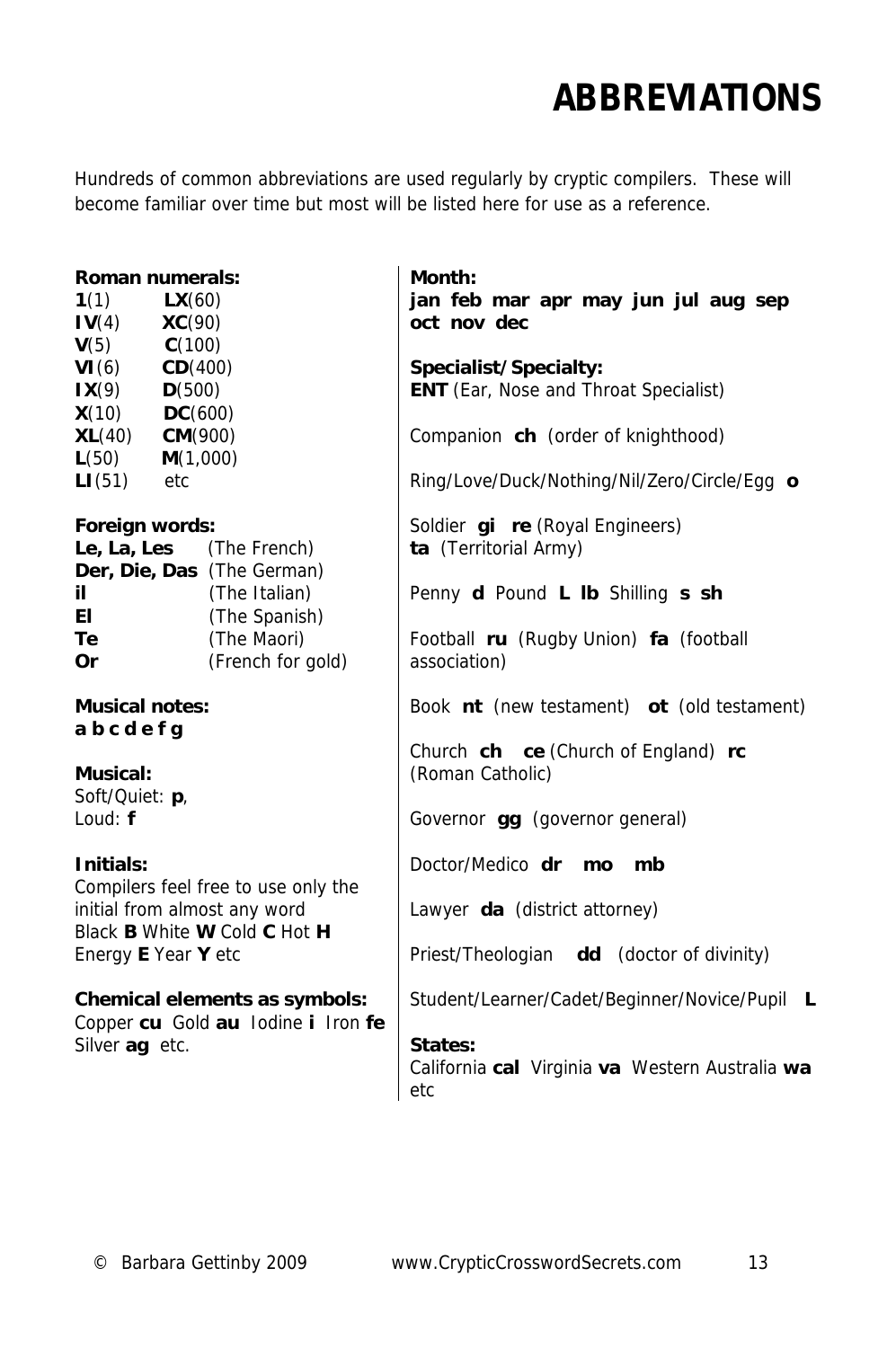### **ABBREVIATIONS**

Hundreds of common abbreviations are used regularly by cryptic compilers. These will become familiar over time but most will be listed here for use as a reference.

#### **Roman numerals:**

| 1(1)   | $\mathsf{LX}(60)$ |
|--------|-------------------|
| IV(4)  | <b>XC(90)</b>     |
| V(5)   | C(100)            |
| VI(6)  | CD(400)           |
| IX(9)  | D(500)            |
| X(10)  | DC(600)           |
| XL(40) | CM(900)           |
| L(50)  | M(1,000)          |
| LI(51) | etc               |

#### **Foreign words:**

| Le, La, Les                | (The French)      |
|----------------------------|-------------------|
| Der, Die, Das (The German) |                   |
| il                         | (The Italian)     |
| ΕI                         | (The Spanish)     |
| Тe                         | (The Maori)       |
| Or                         | (French for gold) |

**Musical notes: a b c d e f g**

#### **Musical:**

Soft/Quiet: **p**, Loud: **f**

#### **Initials:**

Compilers feel free to use only the initial from almost any word Black **B** White **W** Cold **C** Hot **H** Energy **E** Year **Y** etc

### **Chemical elements as symbols:**

Copper **cu** Gold **au** Iodine **i** Iron **fe** Silver **ag** etc.

**Month: jan feb mar apr may jun jul aug sep oct nov dec** 

**Specialist/Specialty: ENT** (Ear, Nose and Throat Specialist)

Companion **ch** (order of knighthood)

Ring/Love/Duck/Nothing/Nil/Zero/Circle/Egg **o**

Soldier **gi re** (Royal Engineers) **ta** (Territorial Army)

Penny **d** Pound **L lb** Shilling **s sh**

Football **ru** (Rugby Union) **fa** (football association)

Book **nt** (new testament) **ot** (old testament)

Church **ch ce** (Church of England) **rc** (Roman Catholic)

Governor **gg** (governor general)

Doctor/Medico **dr mo mb**

Lawyer **da** (district attorney)

Priest/Theologian **dd** (doctor of divinity)

Student/Learner/Cadet/Beginner/Novice/Pupil **L**

### **States:**

California **cal** Virginia **va** Western Australia **wa** etc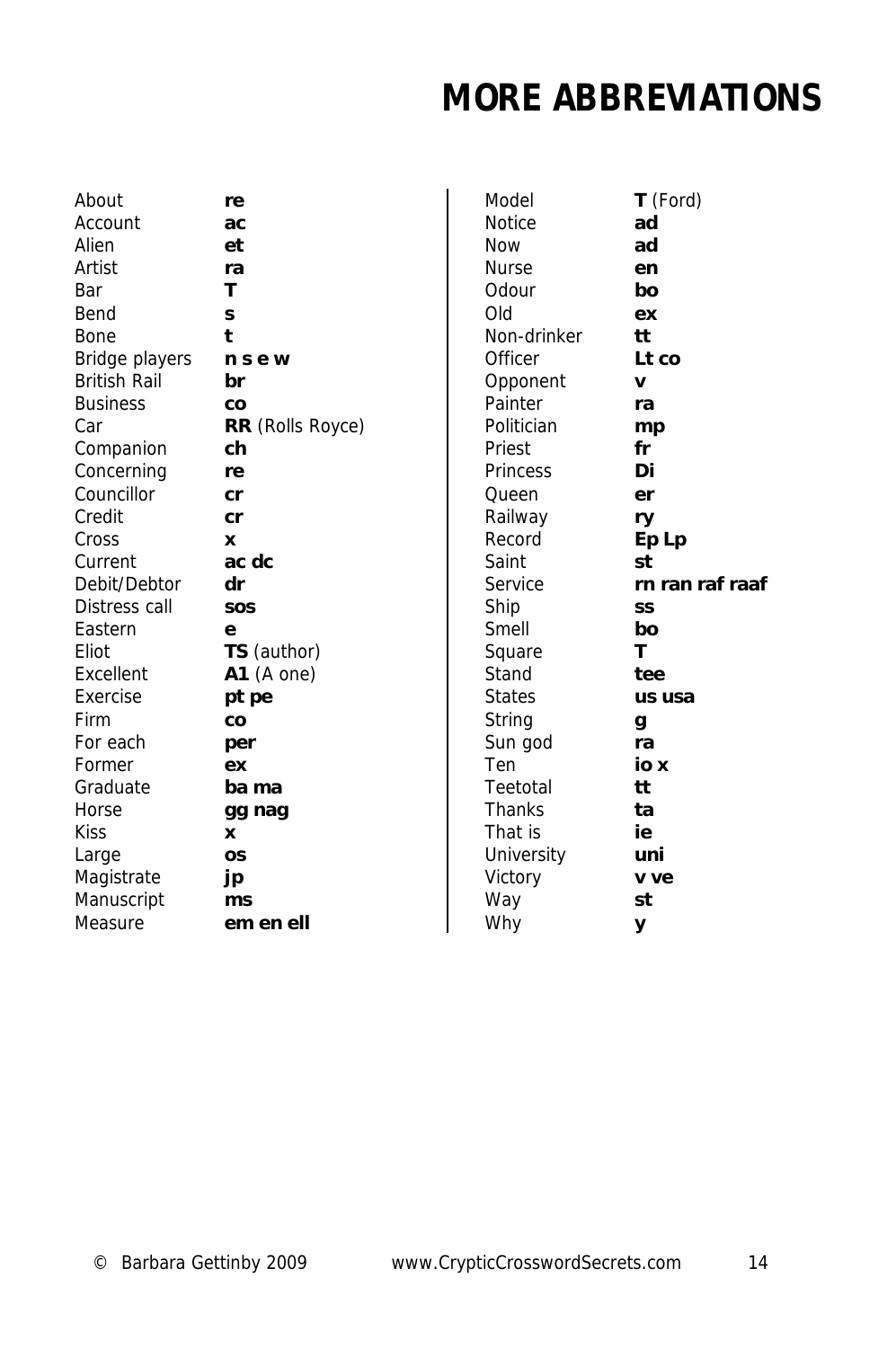### **MORE ABBREVIATIONS**

| About               | re                      |
|---------------------|-------------------------|
| Account             | ас                      |
| Alien               | et                      |
| Artist              | ra                      |
| Bar                 | т                       |
| Bend                | S                       |
| Bone                | t                       |
| Bridge players      | nsew                    |
| <b>British Rail</b> | br                      |
| <b>Business</b>     | CO                      |
| Car                 | <b>RR</b> (Rolls Royce) |
| Companion           | ch                      |
| Concerning          | re                      |
| Councillor          | cr                      |
| Credit              | cr                      |
| Cross               | x                       |
| Current             | ac dc                   |
| Debit/Debtor        | dr                      |
| Distress call       | SOS                     |
| Eastern             | e                       |
| Eliot               | <b>TS</b> (author)      |
| Excellent           | $A1$ (A one)            |
| Exercise            | pt pe                   |
| Firm                | CO                      |
| For each            | per                     |
| Former              | ex                      |
| Graduate            | ba ma                   |
| Horse               | gg nag                  |
| Kiss                | x                       |
| Large               | OS                      |
| Magistrate          | jp                      |
| Manuscript          | ms                      |
| Measure             | em en ell               |

| ÷               |
|-----------------|
| C               |
| t               |
| a               |
|                 |
|                 |
|                 |
|                 |
| sew             |
| r               |
|                 |
| O               |
| R (Rolls Royce) |
| h               |
| e               |
| r               |
| r               |
|                 |
|                 |
| c dc            |
| r               |
| ΟŚ              |
|                 |
| S (author)      |
|                 |
| $1$ (A one)     |
| t pe            |
| o               |
| er              |
| X               |
|                 |
| a ma            |
| g nag           |
|                 |
| S               |
| C               |
| าร              |
|                 |
| m en ell        |

| Model         | <b>T</b> (Ford) |
|---------------|-----------------|
| <b>Notice</b> | ad              |
| Now           | ad              |
| <b>Nurse</b>  | en              |
| Odour         | bo              |
| Old           | ex              |
| Non-drinker   | tt              |
| Officer       | Lt co           |
| Opponent      | V               |
| Painter       | ra              |
| Politician    | mp              |
| Priest        | fr              |
| Princess      | Di              |
| Queen         | er              |
| Railway       | ry              |
| Record        | Ep Lp           |
| Saint         | st              |
| Service       | rn ran raf raaf |
| Ship          | SS              |
| Smell         | bo              |
| Square        | т               |
| Stand         | tee             |
| States        | us usa          |
| String        | g               |
| Sun god       | ra              |
| Ten           | io x            |
| Teetotal      | tt              |
| Thanks        | ta              |
| That is       | ie              |
| University    | uni             |
| Victory       | v ve            |
| Way           | st              |
| Why           | у               |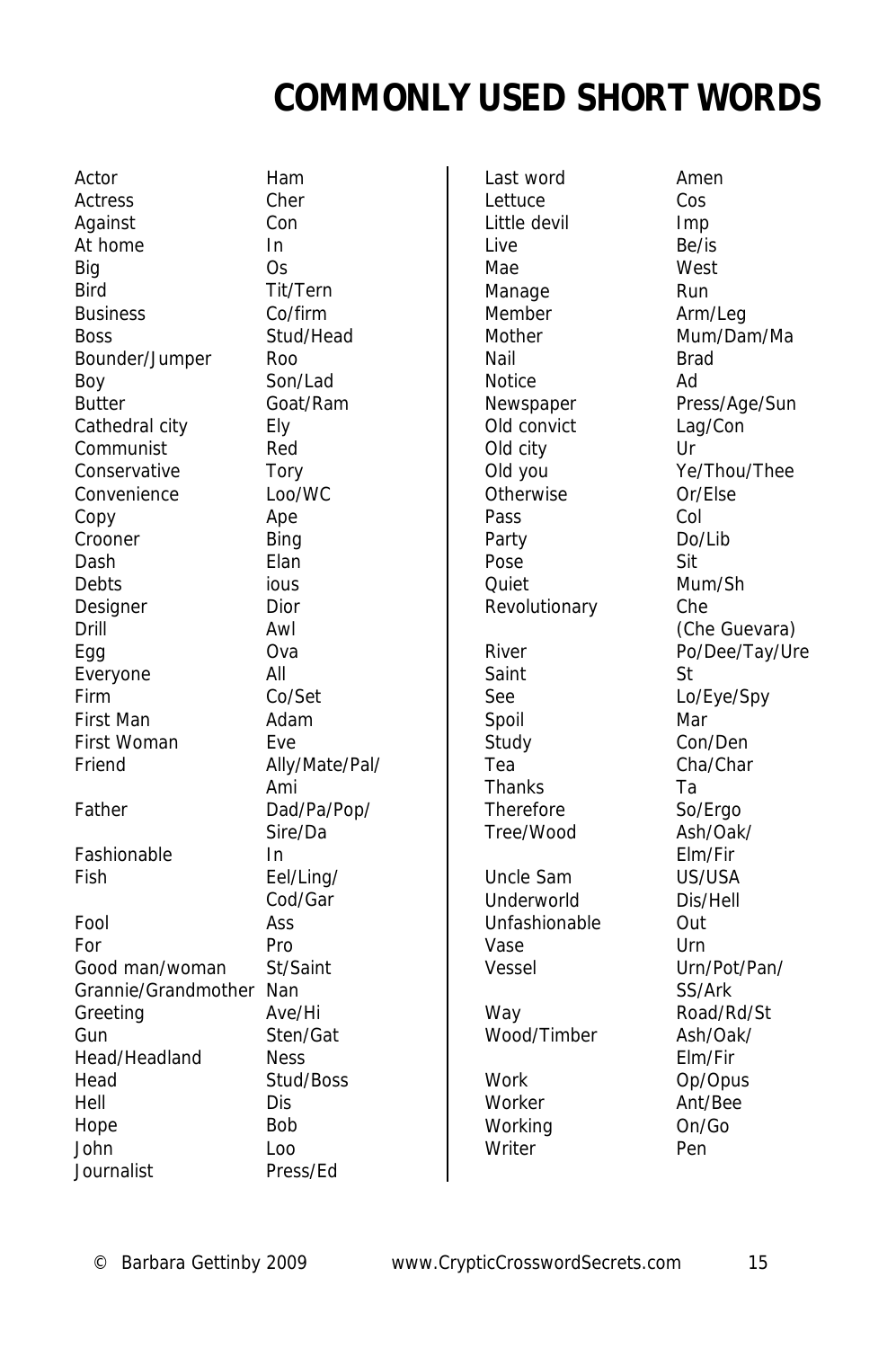### **COMMONLY USED SHORT WORDS**

Actor **Ham** Actress Cher Against Con At home In Big Os Bird Tit/Tern Business Co/firm Boss Stud/Head Bounder/Jumper Roo Boy Son/Lad Butter Goat/Ram Cathedral city Ely Communist Red Conservative Tory Convenience Loo/WC Copy Ape Crooner Bing Dash Elan Debts ious Designer Dior Drill Awl Egg Ova Everyone All Firm Co/Set First Man **Adam** First Woman Eve Friend Ally/Mate/Pal/ Father Dad/Pa/Pop/ Fashionable In Fish Eel/Ling/ Fool Ass For Pro Good man/woman St/Saint Grannie/Grandmother Nan Greeting Ave/Hi Gun Sten/Gat Head/Headland Ness Head Stud/Boss Hell Dis Hope Bob John Loo **Journalist** 

 Ami Sire/Da Cod/Gar Last word **Amen** Lettuce Cos Little devil and a lmp Live Be/is Mae West Manage Run Member Arm/Leg Nail Brad Notice Ad Old convict Lag/Con Old city Ur Otherwise Or/Else Pass Col Party Do/Lib Pose Sit Quiet Mum/Sh Revolutionary Che Saint St See Lo/Eye/Spy Spoil Mar Study Con/Den Tea Cha/Char Thanks Ta Therefore So/Ergo Tree/Wood Ash/Oak/ Uncle Sam US/USA Underworld Dis/Hell Unfashionable Out Vase Urn Vessel Urn/Pot/Pan/ Way Road/Rd/St Wood/Timber Ash/Oak/ Work Op/Opus Worker **Ant/Bee** 

Mother Mum/Dam/Ma Newspaper Press/Age/Sun Old you Ye/Thou/Thee (Che Guevara) River Po/Dee/Tay/Ure Elm/Fir SS/Ark Elm/Fir Working On/Go Writer Pen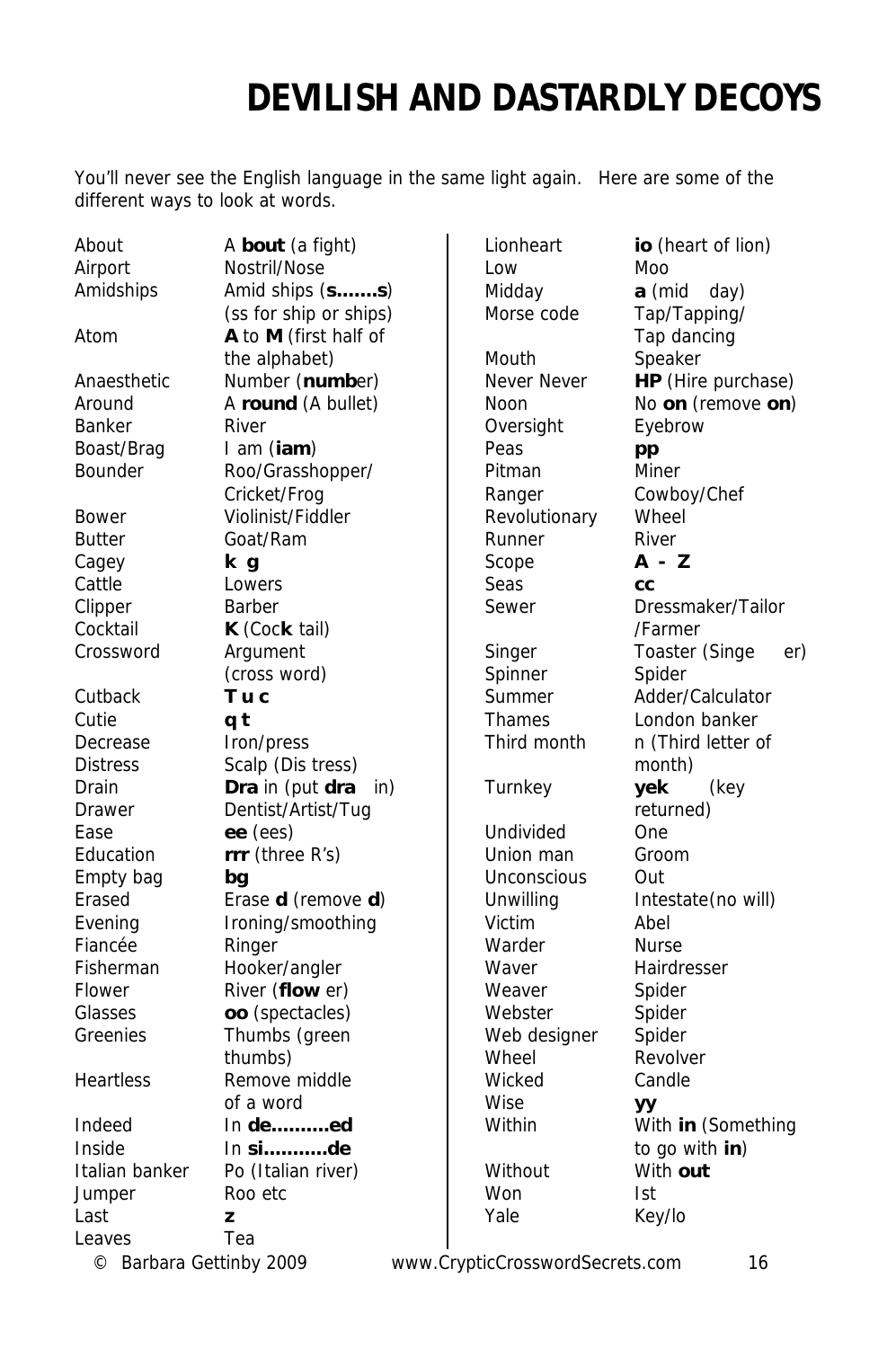### **DEVILISH AND DASTARDLY DECOYS**

You'll never see the English language in the same light again. Here are some of the different ways to look at words.

| About                 | A bout (a fight)       | Lionheart                       | io (heart of lion)    |
|-----------------------|------------------------|---------------------------------|-----------------------|
| Airport               | Nostril/Nose           | Low                             | Moo                   |
| Amidships             | Amid ships (ss)        | Midday                          | a (mid<br>day)        |
|                       | (ss for ship or ships) | Morse code                      | Tap/Tapping/          |
| Atom                  | A to M (first half of  |                                 | Tap dancing           |
|                       | the alphabet)          | Mouth                           | Speaker               |
| Anaesthetic           | Number (number)        | Never Never                     | HP (Hire purchase)    |
| Around                | A round (A bullet)     | Noon                            | No on (remove on)     |
| <b>Banker</b>         | River                  | Oversight                       | Eyebrow               |
| Boast/Brag            | I am (iam)             | Peas                            | pp                    |
| Bounder               | Roo/Grasshopper/       | Pitman                          | <b>Miner</b>          |
|                       | Cricket/Frog           | Ranger                          | Cowboy/Chef           |
| Bower                 | Violinist/Fiddler      | Revolutionary                   | Wheel                 |
| <b>Butter</b>         | Goat/Ram               | Runner                          | River                 |
| Cagey                 | k g                    | Scope                           | A - Z                 |
| Cattle                | Lowers                 | Seas                            | CC                    |
| Clipper               | Barber                 | Sewer                           | Dressmaker/Tailor     |
| Cocktail              | K (Cock tail)          |                                 | /Farmer               |
| Crossword             | Argument               | Singer                          | Toaster (Singe<br>er) |
|                       | (cross word)           | Spinner                         | Spider                |
| Cutback               | Tuc                    | Summer                          | Adder/Calculator      |
| Cutie                 | q t                    | <b>Thames</b>                   | London banker         |
| Decrease              | Iron/press             | Third month                     | n (Third letter of    |
| <b>Distress</b>       | Scalp (Dis tress)      |                                 | month)                |
| Drain                 | Dra in (put dra<br>in) | Turnkey                         | yek<br>(key           |
| Drawer                | Dentist/Artist/Tug     |                                 | returned)             |
| Ease                  | ee (ees)               | Undivided                       | One                   |
| Education             | rrr (three R's)        | Union man                       | Groom                 |
| Empty bag             | bq                     | <b>Unconscious</b>              | Out                   |
| Erased                | Erase d (remove d)     | Unwilling                       | Intestate(no will)    |
| Evening               | Ironing/smoothing      | Victim                          | Abel                  |
| Fiancée               | Ringer                 | Warder                          | <b>Nurse</b>          |
| Fisherman             | Hooker/angler          | Waver                           | Hairdresser           |
| Flower                | River (flow er)        | Weaver                          | Spider                |
| Glasses               | oo (spectacles)        | Webster                         | Spider                |
| Greenies              | Thumbs (green          | Web designer                    | Spider                |
|                       | thumbs)                | Wheel                           | Revolver              |
| Heartless             | Remove middle          | Wicked                          | Candle                |
|                       | of a word              | Wise                            | УY                    |
| Indeed                | In deed                | Within                          | With in (Something    |
| Inside                | $In$ side              |                                 | to go with in)        |
| Italian banker        | Po (Italian river)     | Without                         | With out              |
| Jumper                | Roo etc                | Won                             | Ist                   |
| Last                  | z                      | Yale                            | Key/lo                |
| Leaves                | Tea                    |                                 |                       |
| Dorbara Cottinbu 2000 |                        | unus CrupticCroccuprocorpts com | 14                    |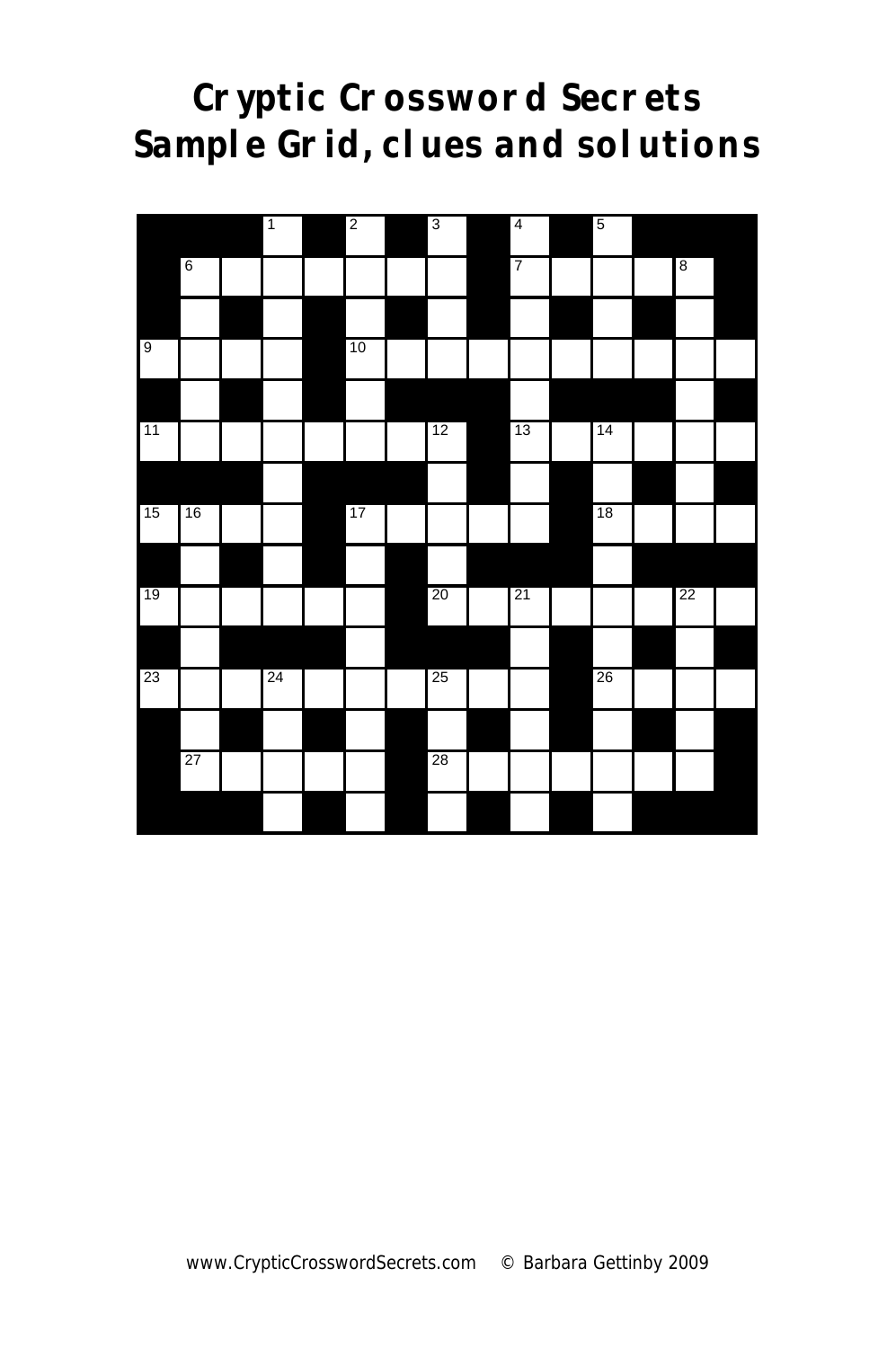### **Cryptic Crossword Secrets Sample Grid, clues and solutions**

|                |                  | $\overline{1}$ | $\overline{c}$ | $\overline{3}$ | $\overline{4}$ | $\overline{5}$ |         |  |
|----------------|------------------|----------------|----------------|----------------|----------------|----------------|---------|--|
|                | $\boldsymbol{6}$ |                |                |                | 7              |                | $\bf 8$ |  |
|                |                  |                |                |                |                |                |         |  |
| $\overline{9}$ |                  |                | 10             |                |                |                |         |  |
|                |                  |                |                |                |                |                |         |  |
| 11             |                  |                |                | 12             | 13             | 14             |         |  |
|                |                  |                |                |                |                |                |         |  |
| 15             | 16               |                | 17             |                |                | 18             |         |  |
|                |                  |                |                |                |                |                |         |  |
| 19             |                  |                |                | 20             | 21             |                | 22      |  |
|                |                  |                |                |                |                |                |         |  |
| 23             |                  | 24             |                | 25             |                | 26             |         |  |
|                |                  |                |                |                |                |                |         |  |
|                | 27               |                |                | 28             |                |                |         |  |
|                |                  |                |                |                |                |                |         |  |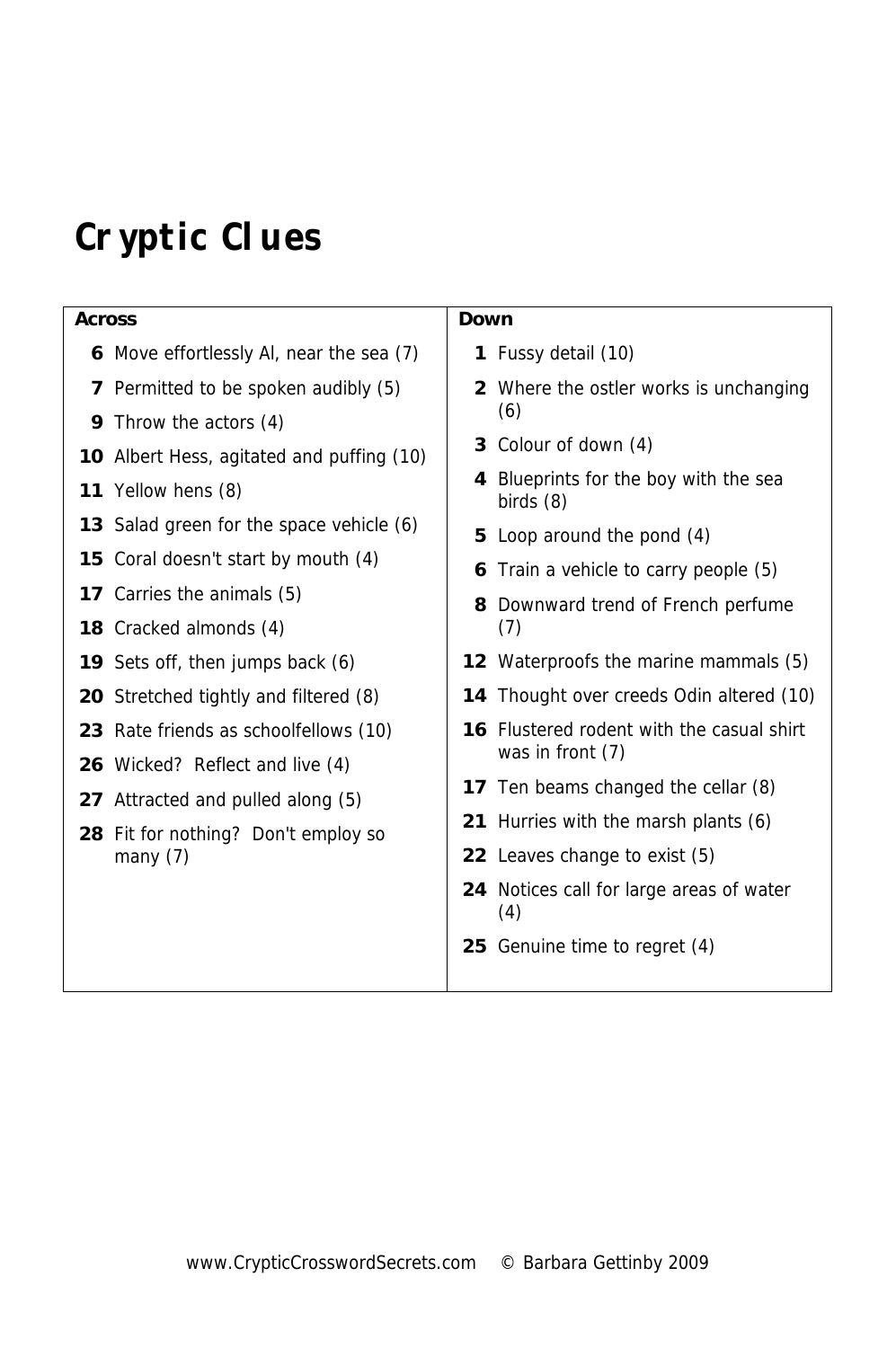# **Cryptic Clues**

| <b>Across</b> |                                                   | Down                                                    |                                                        |  |  |
|---------------|---------------------------------------------------|---------------------------------------------------------|--------------------------------------------------------|--|--|
|               | 6 Move effortlessly AI, near the sea (7)          |                                                         | 1 Fussy detail (10)                                    |  |  |
|               | 7 Permitted to be spoken audibly (5)              | 2                                                       | Where the ostler works is unchanging                   |  |  |
| 9             | Throw the actors (4)                              |                                                         | (6)                                                    |  |  |
|               | 10 Albert Hess, agitated and puffing (10)         |                                                         | 3 Colour of down (4)                                   |  |  |
| 11            | Yellow hens (8)                                   | Blueprints for the boy with the sea<br>4<br>birds $(8)$ |                                                        |  |  |
|               | <b>13</b> Salad green for the space vehicle (6)   |                                                         | 5 Loop around the pond (4)                             |  |  |
|               | <b>15</b> Coral doesn't start by mouth (4)        |                                                         | Train a vehicle to carry people (5)                    |  |  |
|               | 17 Carries the animals (5)                        |                                                         | 8 Downward trend of French perfume                     |  |  |
|               | 18 Cracked almonds (4)                            |                                                         | (7)                                                    |  |  |
|               | 19 Sets off, then jumps back (6)                  |                                                         | 12 Waterproofs the marine mammals (5)                  |  |  |
|               | <b>20</b> Stretched tightly and filtered (8)      |                                                         | 14 Thought over creeds Odin altered (10)               |  |  |
|               | 23 Rate friends as schoolfellows (10)             |                                                         | <b>16</b> Flustered rodent with the casual shirt       |  |  |
|               | <b>26</b> Wicked? Reflect and live (4)            |                                                         | was in front (7)                                       |  |  |
|               | 27 Attracted and pulled along (5)                 |                                                         | 17 Ten beams changed the cellar (8)                    |  |  |
|               | 28 Fit for nothing? Don't employ so<br>many $(7)$ |                                                         | 21 Hurries with the marsh plants (6)                   |  |  |
|               |                                                   |                                                         | 22 Leaves change to exist (5)                          |  |  |
|               |                                                   |                                                         | <b>24</b> Notices call for large areas of water<br>(4) |  |  |
|               |                                                   |                                                         | 25 Genuine time to regret (4)                          |  |  |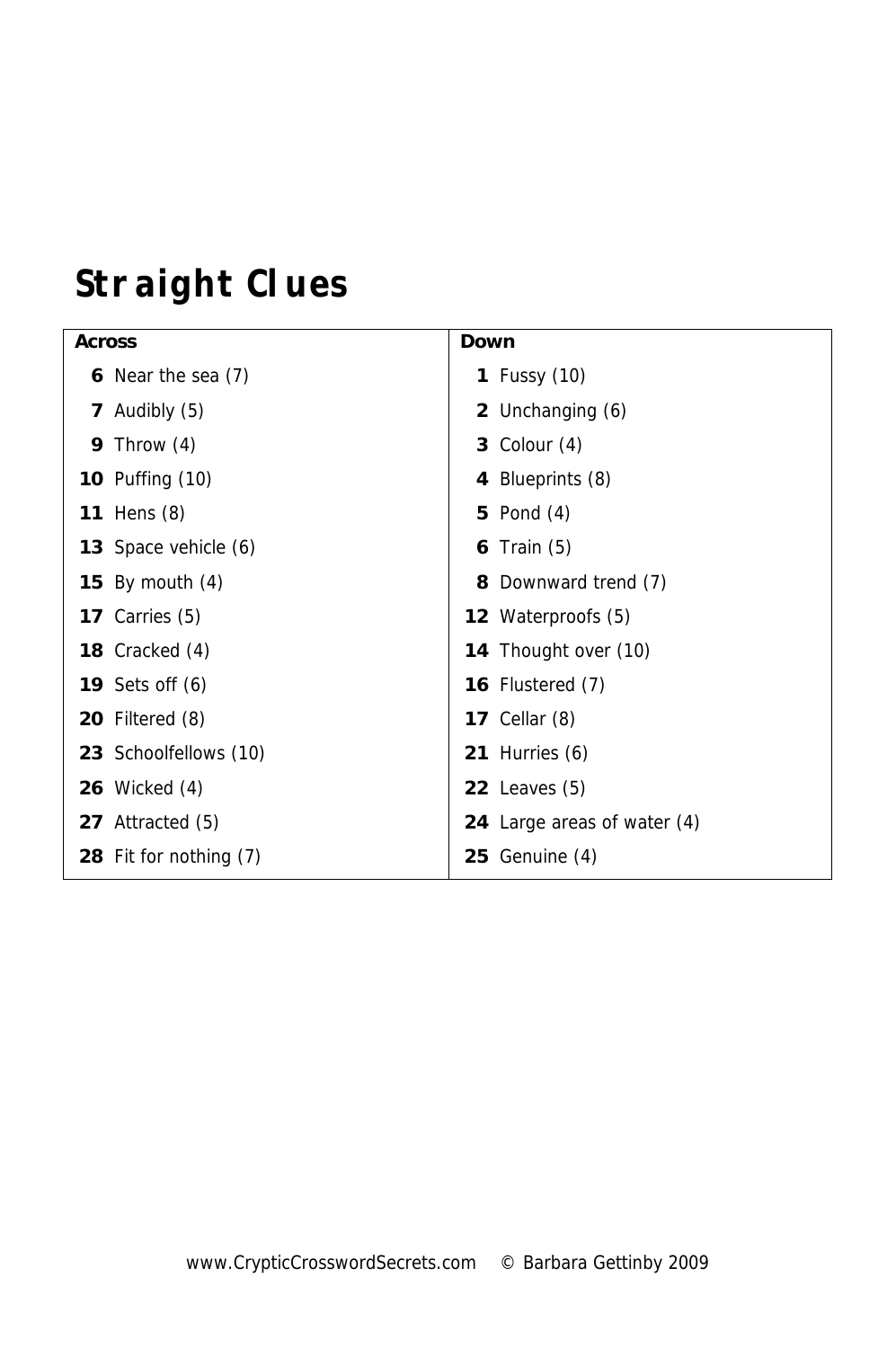# **Straight Clues**

| <b>Across</b> |                          | Down |                             |
|---------------|--------------------------|------|-----------------------------|
|               | 6 Near the sea (7)       |      | <b>1</b> Fussy (10)         |
|               | 7 Audibly (5)            |      | 2 Unchanging (6)            |
|               | 9 Throw $(4)$            |      | 3 Colour $(4)$              |
|               | <b>10</b> Puffing (10)   |      | 4 Blueprints (8)            |
|               | <b>11</b> Hens (8)       |      | 5 Pond $(4)$                |
|               | 13 Space vehicle (6)     |      | 6 Train $(5)$               |
|               | 15 By mouth $(4)$        |      | 8 Downward trend (7)        |
|               | 17 Carries $(5)$         |      | 12 Waterproofs (5)          |
|               | 18 Cracked (4)           |      | 14 Thought over (10)        |
|               | <b>19</b> Sets off $(6)$ |      | <b>16</b> Flustered (7)     |
|               | <b>20</b> Filtered (8)   |      | <b>17</b> Cellar (8)        |
|               | 23 Schoolfellows (10)    |      | 21 Hurries $(6)$            |
|               | <b>26</b> Wicked (4)     |      | 22 Leaves $(5)$             |
|               | 27 Attracted (5)         |      | 24 Large areas of water (4) |
|               | 28 Fit for nothing (7)   |      | $25$ Genuine $(4)$          |